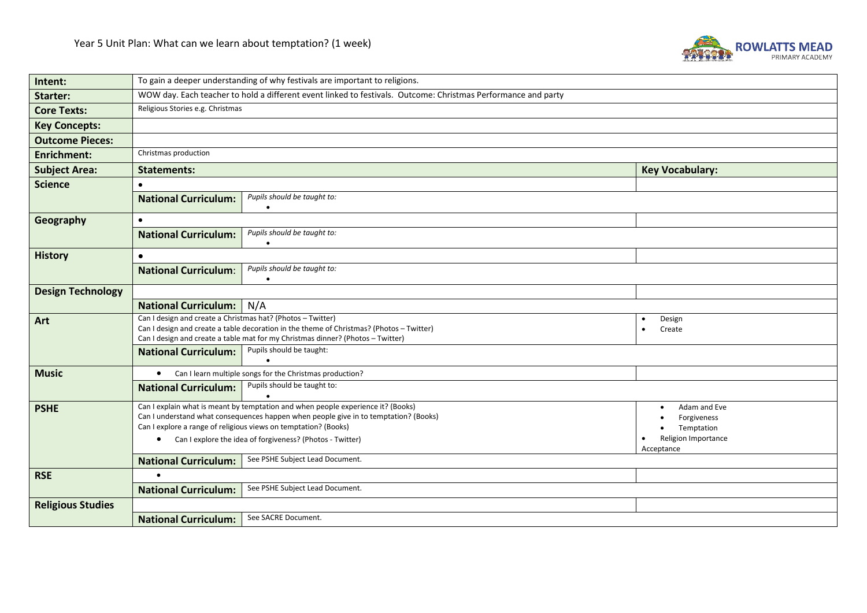

| Intent:                  | To gain a deeper understanding of why festivals are important to religions.                                                                                                                        |                                                                                                                                                                                                                                                                                                          |                                                                                |  |  |  |  |
|--------------------------|----------------------------------------------------------------------------------------------------------------------------------------------------------------------------------------------------|----------------------------------------------------------------------------------------------------------------------------------------------------------------------------------------------------------------------------------------------------------------------------------------------------------|--------------------------------------------------------------------------------|--|--|--|--|
| Starter:                 | WOW day. Each teacher to hold a different event linked to festivals. Outcome: Christmas Performance and party                                                                                      |                                                                                                                                                                                                                                                                                                          |                                                                                |  |  |  |  |
| <b>Core Texts:</b>       | Religious Stories e.g. Christmas                                                                                                                                                                   |                                                                                                                                                                                                                                                                                                          |                                                                                |  |  |  |  |
| <b>Key Concepts:</b>     |                                                                                                                                                                                                    |                                                                                                                                                                                                                                                                                                          |                                                                                |  |  |  |  |
| <b>Outcome Pieces:</b>   |                                                                                                                                                                                                    |                                                                                                                                                                                                                                                                                                          |                                                                                |  |  |  |  |
| <b>Enrichment:</b>       | Christmas production                                                                                                                                                                               |                                                                                                                                                                                                                                                                                                          |                                                                                |  |  |  |  |
| <b>Subject Area:</b>     | <b>Key Vocabulary:</b><br><b>Statements:</b>                                                                                                                                                       |                                                                                                                                                                                                                                                                                                          |                                                                                |  |  |  |  |
| <b>Science</b>           | $\bullet$                                                                                                                                                                                          |                                                                                                                                                                                                                                                                                                          |                                                                                |  |  |  |  |
|                          | <b>National Curriculum:</b>                                                                                                                                                                        | Pupils should be taught to:<br>$\bullet$                                                                                                                                                                                                                                                                 |                                                                                |  |  |  |  |
| Geography                | $\bullet$                                                                                                                                                                                          |                                                                                                                                                                                                                                                                                                          |                                                                                |  |  |  |  |
|                          | <b>National Curriculum:</b>                                                                                                                                                                        | Pupils should be taught to:                                                                                                                                                                                                                                                                              |                                                                                |  |  |  |  |
| <b>History</b>           | $\bullet$                                                                                                                                                                                          |                                                                                                                                                                                                                                                                                                          |                                                                                |  |  |  |  |
|                          | <b>National Curriculum:</b>                                                                                                                                                                        | Pupils should be taught to:                                                                                                                                                                                                                                                                              |                                                                                |  |  |  |  |
| <b>Design Technology</b> |                                                                                                                                                                                                    |                                                                                                                                                                                                                                                                                                          |                                                                                |  |  |  |  |
|                          | <b>National Curriculum:</b> N/A                                                                                                                                                                    |                                                                                                                                                                                                                                                                                                          |                                                                                |  |  |  |  |
| Art                      | Can I design and create a Christmas hat? (Photos - Twitter)                                                                                                                                        |                                                                                                                                                                                                                                                                                                          | Design<br>$\bullet$                                                            |  |  |  |  |
|                          | Can I design and create a table decoration in the theme of Christmas? (Photos - Twitter)<br>Create<br>$\bullet$<br>Can I design and create a table mat for my Christmas dinner? (Photos - Twitter) |                                                                                                                                                                                                                                                                                                          |                                                                                |  |  |  |  |
|                          | <b>National Curriculum:</b>                                                                                                                                                                        | Pupils should be taught:                                                                                                                                                                                                                                                                                 |                                                                                |  |  |  |  |
| <b>Music</b>             |                                                                                                                                                                                                    | • Can I learn multiple songs for the Christmas production?                                                                                                                                                                                                                                               |                                                                                |  |  |  |  |
|                          | <b>National Curriculum:</b>                                                                                                                                                                        | Pupils should be taught to:                                                                                                                                                                                                                                                                              |                                                                                |  |  |  |  |
| <b>PSHE</b>              | $\bullet$                                                                                                                                                                                          | Can I explain what is meant by temptation and when people experience it? (Books)<br>Can I understand what consequences happen when people give in to temptation? (Books)<br>Can I explore a range of religious views on temptation? (Books)<br>Can I explore the idea of forgiveness? (Photos - Twitter) | Adam and Eve<br>Forgiveness<br>Temptation<br>Religion Importance<br>Acceptance |  |  |  |  |
|                          | See PSHE Subject Lead Document.<br><b>National Curriculum:</b>                                                                                                                                     |                                                                                                                                                                                                                                                                                                          |                                                                                |  |  |  |  |
| <b>RSE</b>               |                                                                                                                                                                                                    |                                                                                                                                                                                                                                                                                                          |                                                                                |  |  |  |  |
|                          | <b>National Curriculum:</b>                                                                                                                                                                        | See PSHE Subject Lead Document.                                                                                                                                                                                                                                                                          |                                                                                |  |  |  |  |
| <b>Religious Studies</b> |                                                                                                                                                                                                    |                                                                                                                                                                                                                                                                                                          |                                                                                |  |  |  |  |
|                          | See SACRE Document.<br><b>National Curriculum:</b>                                                                                                                                                 |                                                                                                                                                                                                                                                                                                          |                                                                                |  |  |  |  |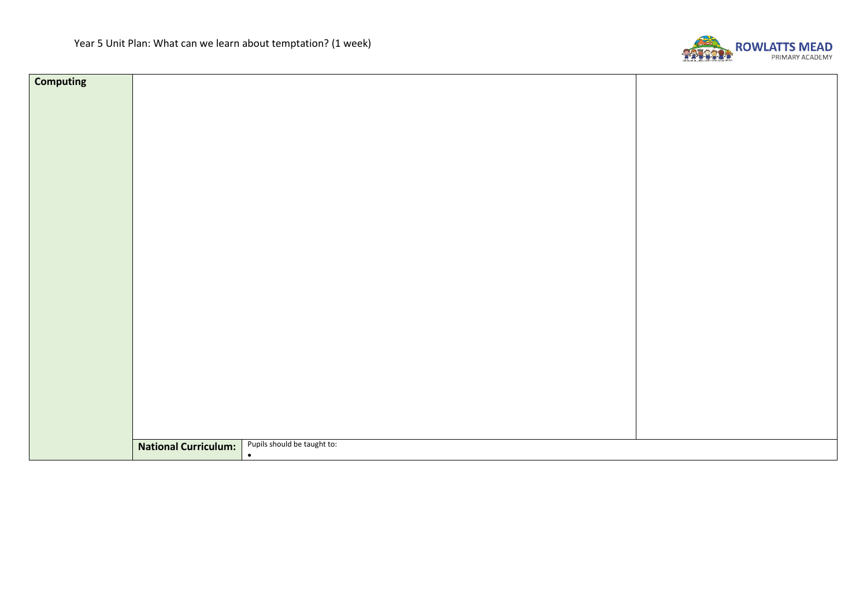

| <b>Computing</b> |                             |                             |  |  |  |
|------------------|-----------------------------|-----------------------------|--|--|--|
|                  |                             |                             |  |  |  |
|                  |                             |                             |  |  |  |
|                  |                             |                             |  |  |  |
|                  |                             |                             |  |  |  |
|                  |                             |                             |  |  |  |
|                  |                             |                             |  |  |  |
|                  |                             |                             |  |  |  |
|                  |                             |                             |  |  |  |
|                  |                             |                             |  |  |  |
|                  |                             |                             |  |  |  |
|                  |                             |                             |  |  |  |
|                  |                             |                             |  |  |  |
|                  |                             |                             |  |  |  |
|                  |                             |                             |  |  |  |
|                  |                             |                             |  |  |  |
|                  |                             |                             |  |  |  |
|                  |                             |                             |  |  |  |
|                  |                             |                             |  |  |  |
|                  |                             |                             |  |  |  |
|                  |                             |                             |  |  |  |
|                  |                             |                             |  |  |  |
|                  |                             |                             |  |  |  |
|                  |                             |                             |  |  |  |
|                  |                             |                             |  |  |  |
|                  |                             |                             |  |  |  |
|                  |                             | Pupils should be taught to: |  |  |  |
|                  | <b>National Curriculum:</b> | $\bullet$                   |  |  |  |
|                  |                             |                             |  |  |  |